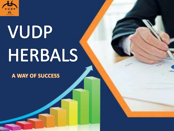

# VUDP HERBALS

A WAY OF SUCCESS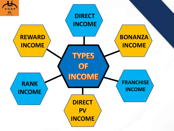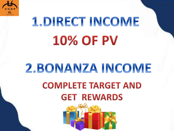

### 1. DIRECT INCOME **10% OF PV**

#### 2.BONANZA INCOME **COMPLETE TARGET AND GET REWARDS**

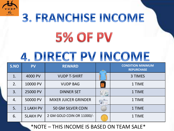

## 3. FRANCHISE INCOME **5% OF PV**

#### 4. DIRECT PV INCOME

| S.NO | <b>PV</b>        | <b>REWARD</b>               | <b>CONDITION MINIMUM</b><br><b>REPURCHASE</b> |  |
|------|------------------|-----------------------------|-----------------------------------------------|--|
| 1.   | 4000 PV          | <b>VUDP T-SHIRT</b>         | 3 TIMES                                       |  |
| 2.   | 10000 PV         | <b>VUDP BAG</b>             | 1 TIME                                        |  |
| 3.   | 25000 PV         | <b>DINNER SET</b>           | 1 TIME                                        |  |
| 4.   | 50000 PV         | <b>MIXER JUICER GRINDER</b> | 1 TIME                                        |  |
| 5.   | <b>1 LAKH PV</b> | <b>50 GM SILVER COIN</b>    | 1 TIME                                        |  |
| 6.   | <b>5LAKH PV</b>  | 2 GM GOLD COIN OR 11000/-   | 1 TIME                                        |  |

\*NOTE – THIS INCOME IS BASED ON TEAM SALE\*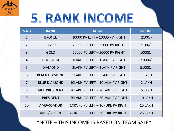

### 5. RANK INCOME

| S.NO | <b>RANK</b>           | <b>TARGET</b>                           | <b>INCOME</b>  |
|------|-----------------------|-----------------------------------------|----------------|
| 1.   | <b>BRONZE</b>         | 10000 PV LEFT - 10000 PV RIGHT          | $2100/-$       |
| 2.   | <b>SILVER</b>         | 25000 PV LEFT - 25000 PV RIGHT          | $5100/-$       |
| 3.   | <b>GOLD</b>           | 50000 PV LEFT - 50000 PV RIGHT          | $10000/-$      |
| 4.   | <b>PLATINUM</b>       | 1LAKH PV LEFT - 1LAKH PV RIGHT          | $21000/-$      |
| 5.   | <b>DIAMOND</b>        | 2LAKH PV LEFT - 2LAKH PV RIGHT          | $51000/-$      |
| 6.   | <b>BLACK DIAMOND</b>  | <b>SLAKH PV LEFT - SLAKH PV RIGHT</b>   | 1 LAKH         |
| 7.   | <b>BLUE DIAMOND</b>   | 10LAKH PV LEFT - 10LAKH PV RIGHT        | 2 LAKH         |
| 8.   | <b>VICE PRESIDENT</b> | 20LAKH PV LEFT - 20LAKH PV RIGHT        | 5 LAKH         |
| 9.   | <b>PRESIDENT</b>      | <b>50LAKH PV LEFT - 50LAKH PV RIGHT</b> | <b>10 LAKH</b> |
| 10.  | AMBASSADOR            | 1CRORE PV LEFT - 1CRORE PV RIGHT        | <b>15 LAKH</b> |
| 11.  | KING/QUEEN            | 2CRORE PV LEFT - 2CRORE PV RIGHT        | 25 LAKH        |

\*NOTE – THIS INCOME IS BASED ON TEAM SALE\*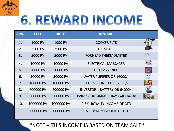

### 6. REWARD INCOME

| S.NO | <b>LEFT</b> | <b>RIGHT</b> | <b>REWARD</b>                            |  |
|------|-------------|--------------|------------------------------------------|--|
| 1.   | 1000 PV     | 1000 PV      | <b>COOKER 5LTR</b>                       |  |
| 2.   | 2500 PV     | 2500 PV      | <b>OXIMETER</b>                          |  |
| 3.   | 5000 PV     | 5000 PV      | <b>FORHEAD THERMOMETER</b>               |  |
| 4.   | 10000 PV    | 10000 PV     | <b>ELECTRICAL MASSAGER</b>               |  |
| 5.   | 20000 PV    | 20000 PV     | LED TV 22 INCH                           |  |
| 6.   | 50000 PV    | 50000 PV     | WATER PURIFIER OR 16000/-                |  |
| 7.   | 100000 PV   | 100000 PV    | LED TV 32 INCH OR 32000/-                |  |
| 8.   | 200000 PV   | 200000 PV    | INVERTOR + BATTERY OR 64000/-            |  |
| 9.   | 500000 PV   | 500000 PV    | THAILAND TRIP 3NIGHT - 4DAYS OR 128000/- |  |
| 10.  | 1000000 PV  | 1000000 PV   | 0.5% ROYALTY INCOME OF CTO               |  |
| 11.  | 2000000 PV  | 2000000 PV   | 1% ROYALTY INCOME OF CTO                 |  |

\*NOTE – THIS INCOME IS BASED ON TEAM SALE\*